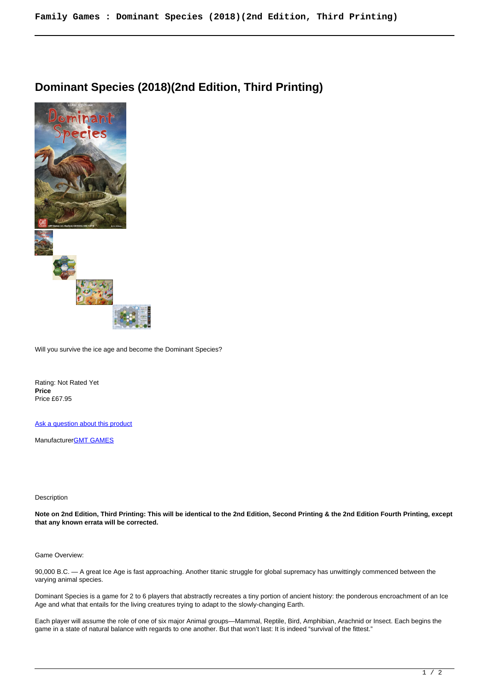## **Dominant Species (2018)(2nd Edition, Third Printing)**



Will you survive the ice age and become the Dominant Species?

Rating: Not Rated Yet **Price**  Price £67.95

[Ask a question about this product](https://www.secondchancegames.com/index.php?option=com_virtuemart&view=productdetails&task=askquestion&virtuemart_product_id=13703&virtuemart_category_id=18&tmpl=component)

Manufacturer[GMT GAMES](https://www.secondchancegames.com/index.php?option=com_virtuemart&view=manufacturer&virtuemart_manufacturer_id=2519&tmpl=component)

## Description

**Note on 2nd Edition, Third Printing: This will be identical to the 2nd Edition, Second Printing & the 2nd Edition Fourth Printing, except that any known errata will be corrected.**

## Game Overview:

90,000 B.C. — A great Ice Age is fast approaching. Another titanic struggle for global supremacy has unwittingly commenced between the varying animal species.

Dominant Species is a game for 2 to 6 players that abstractly recreates a tiny portion of ancient history: the ponderous encroachment of an Ice Age and what that entails for the living creatures trying to adapt to the slowly-changing Earth.

Each player will assume the role of one of six major Animal groups—Mammal, Reptile, Bird, Amphibian, Arachnid or Insect. Each begins the game in a state of natural balance with regards to one another. But that won't last: It is indeed "survival of the fittest."